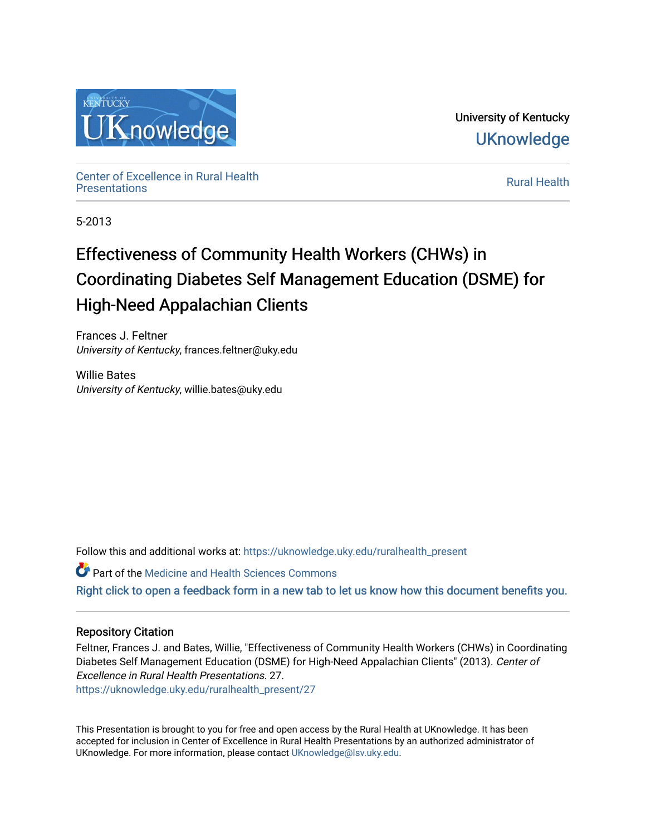

University of Kentucky **UKnowledge** 

Center of Excellence in Rural Health<br>Presentations Definer of Excellence in Kural Health<br>[Presentations](https://uknowledge.uky.edu/ruralhealth_present) **Rural Health** 

5-2013

#### Effectiveness of Community Health Workers (CHWs) in Coordinating Diabetes Self Management Education (DSME) for High-Need Appalachian Clients

Frances J. Feltner University of Kentucky, frances.feltner@uky.edu

Willie Bates University of Kentucky, willie.bates@uky.edu

Follow this and additional works at: [https://uknowledge.uky.edu/ruralhealth\\_present](https://uknowledge.uky.edu/ruralhealth_present?utm_source=uknowledge.uky.edu%2Fruralhealth_present%2F27&utm_medium=PDF&utm_campaign=PDFCoverPages) 

Part of the [Medicine and Health Sciences Commons](http://network.bepress.com/hgg/discipline/648?utm_source=uknowledge.uky.edu%2Fruralhealth_present%2F27&utm_medium=PDF&utm_campaign=PDFCoverPages)  [Right click to open a feedback form in a new tab to let us know how this document benefits you.](https://uky.az1.qualtrics.com/jfe/form/SV_9mq8fx2GnONRfz7)

#### Repository Citation

Feltner, Frances J. and Bates, Willie, "Effectiveness of Community Health Workers (CHWs) in Coordinating Diabetes Self Management Education (DSME) for High-Need Appalachian Clients" (2013). Center of Excellence in Rural Health Presentations. 27. [https://uknowledge.uky.edu/ruralhealth\\_present/27](https://uknowledge.uky.edu/ruralhealth_present/27?utm_source=uknowledge.uky.edu%2Fruralhealth_present%2F27&utm_medium=PDF&utm_campaign=PDFCoverPages)

This Presentation is brought to you for free and open access by the Rural Health at UKnowledge. It has been accepted for inclusion in Center of Excellence in Rural Health Presentations by an authorized administrator of UKnowledge. For more information, please contact [UKnowledge@lsv.uky.edu](mailto:UKnowledge@lsv.uky.edu).